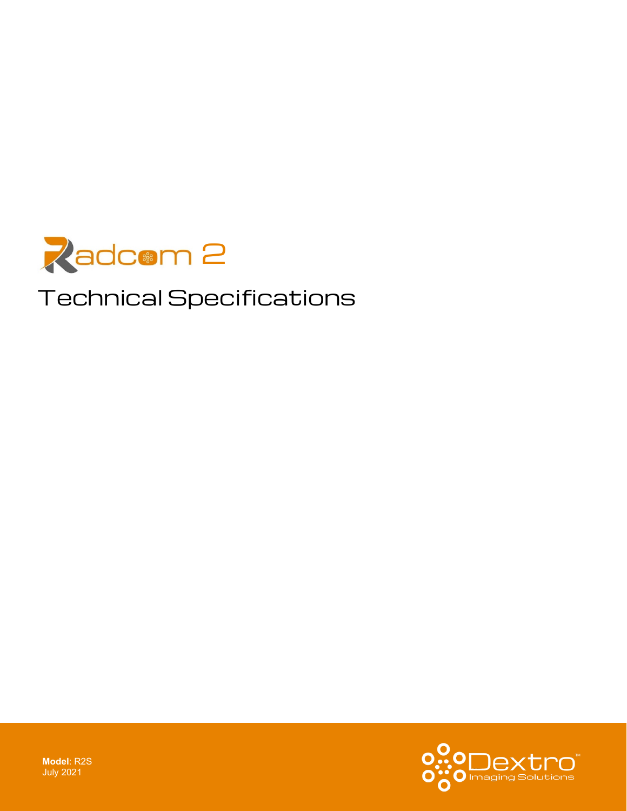

# Technical Specifications



**Model**: R2S July 2021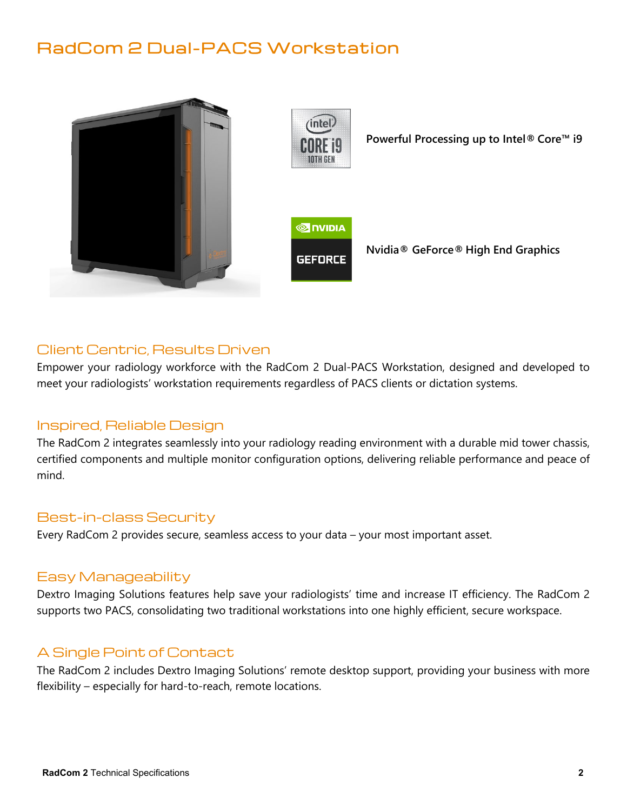## RadCom 2 Dual-PACS Workstation





**Powerful Processing up to Intel® Core™ i9**



**Nvidia® GeForce® High End Graphics**

#### Client Centric, Results Driven

Empower your radiology workforce with the RadCom 2 Dual-PACS Workstation, designed and developed to meet your radiologists' workstation requirements regardless of PACS clients or dictation systems.

#### Inspired, Reliable Design

The RadCom 2 integrates seamlessly into your radiology reading environment with a durable mid tower chassis, certified components and multiple monitor configuration options, delivering reliable performance and peace of mind.

#### Best-in-class Security

Every RadCom 2 provides secure, seamless access to your data – your most important asset.

#### Easy Manageability

Dextro Imaging Solutions features help save your radiologists' time and increase IT efficiency. The RadCom 2 supports two PACS, consolidating two traditional workstations into one highly efficient, secure workspace.

### A Single Point of Contact

The RadCom 2 includes Dextro Imaging Solutions' remote desktop support, providing your business with more flexibility – especially for hard-to-reach, remote locations.